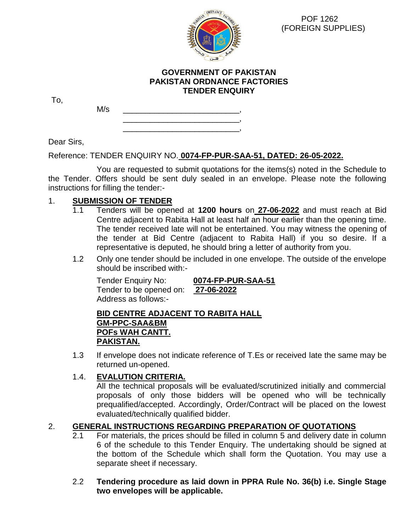

 POF 1262 (FOREIGN SUPPLIES)

## **GOVERNMENT OF PAKISTAN PAKISTAN ORDNANCE FACTORIES TENDER ENQUIRY**

To,

M/s \_\_\_\_\_\_\_\_\_\_\_\_\_\_\_\_\_\_\_\_\_\_\_\_\_\_, \_\_\_\_\_\_\_\_\_\_\_\_\_\_\_\_\_\_\_\_\_\_\_\_\_\_,

\_\_\_\_\_\_\_\_\_\_\_\_\_\_\_\_\_\_\_\_\_\_\_\_\_\_,

Dear Sirs,

Reference: TENDER ENQUIRY NO. **0074-FP-PUR-SAA-51, DATED: 26-05-2022.**

You are requested to submit quotations for the items(s) noted in the Schedule to the Tender. Offers should be sent duly sealed in an envelope. Please note the following instructions for filling the tender:-

# 1. **SUBMISSION OF TENDER**

- 1.1 Tenders will be opened at **1200 hours** on **27-06-2022** and must reach at Bid Centre adjacent to Rabita Hall at least half an hour earlier than the opening time. The tender received late will not be entertained. You may witness the opening of the tender at Bid Centre (adjacent to Rabita Hall) if you so desire. If a representative is deputed, he should bring a letter of authority from you.
- 1.2 Only one tender should be included in one envelope. The outside of the envelope should be inscribed with:-

Tender Enquiry No: **0074-FP-PUR-SAA-51** Tender to be opened on: **27-06-2022** Address as follows:-

**BID CENTRE ADJACENT TO RABITA HALL GM-PPC-SAA&BM POFs WAH CANTT. PAKISTAN.**

1.3 If envelope does not indicate reference of T.Es or received late the same may be returned un-opened.

# 1.4. **EVALUTION CRITERIA.**

All the technical proposals will be evaluated/scrutinized initially and commercial proposals of only those bidders will be opened who will be technically prequalified/accepted. Accordingly, Order/Contract will be placed on the lowest evaluated/technically qualified bidder.

# 2. **GENERAL INSTRUCTIONS REGARDING PREPARATION OF QUOTATIONS**

2.1 For materials, the prices should be filled in column 5 and delivery date in column 6 of the schedule to this Tender Enquiry. The undertaking should be signed at the bottom of the Schedule which shall form the Quotation. You may use a separate sheet if necessary.

## 2.2 **Tendering procedure as laid down in PPRA Rule No. 36(b) i.e. Single Stage two envelopes will be applicable.**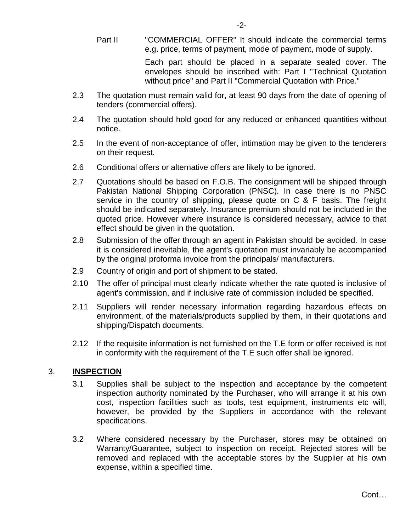Each part should be placed in a separate sealed cover. The envelopes should be inscribed with: Part I "Technical Quotation without price" and Part II "Commercial Quotation with Price."

- 2.3 The quotation must remain valid for, at least 90 days from the date of opening of tenders (commercial offers).
- 2.4 The quotation should hold good for any reduced or enhanced quantities without notice.
- 2.5 In the event of non-acceptance of offer, intimation may be given to the tenderers on their request.
- 2.6 Conditional offers or alternative offers are likely to be ignored.
- 2.7 Quotations should be based on F.O.B. The consignment will be shipped through Pakistan National Shipping Corporation (PNSC). In case there is no PNSC service in the country of shipping, please quote on C & F basis. The freight should be indicated separately. Insurance premium should not be included in the quoted price. However where insurance is considered necessary, advice to that effect should be given in the quotation.
- 2.8 Submission of the offer through an agent in Pakistan should be avoided. In case it is considered inevitable, the agent's quotation must invariably be accompanied by the original proforma invoice from the principals/ manufacturers.
- 2.9 Country of origin and port of shipment to be stated.
- 2.10 The offer of principal must clearly indicate whether the rate quoted is inclusive of agent's commission, and if inclusive rate of commission included be specified.
- 2.11 Suppliers will render necessary information regarding hazardous effects on environment, of the materials/products supplied by them, in their quotations and shipping/Dispatch documents.
- 2.12 If the requisite information is not furnished on the T.E form or offer received is not in conformity with the requirement of the T.E such offer shall be ignored.

# 3. **INSPECTION**

- 3.1 Supplies shall be subject to the inspection and acceptance by the competent inspection authority nominated by the Purchaser, who will arrange it at his own cost, inspection facilities such as tools, test equipment, instruments etc will, however, be provided by the Suppliers in accordance with the relevant specifications.
- 3.2 Where considered necessary by the Purchaser, stores may be obtained on Warranty/Guarantee, subject to inspection on receipt. Rejected stores will be removed and replaced with the acceptable stores by the Supplier at his own expense, within a specified time.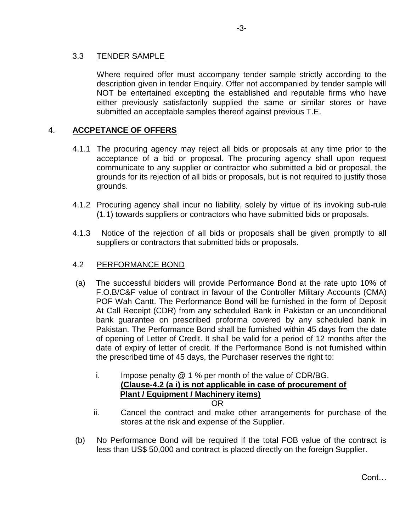## 3.3 TENDER SAMPLE

 Where required offer must accompany tender sample strictly according to the description given in tender Enquiry. Offer not accompanied by tender sample will NOT be entertained excepting the established and reputable firms who have either previously satisfactorily supplied the same or similar stores or have submitted an acceptable samples thereof against previous T.E.

# 4. **ACCPETANCE OF OFFERS**

- 4.1.1 The procuring agency may reject all bids or proposals at any time prior to the acceptance of a bid or proposal. The procuring agency shall upon request communicate to any supplier or contractor who submitted a bid or proposal, the grounds for its rejection of all bids or proposals, but is not required to justify those grounds.
- 4.1.2 Procuring agency shall incur no liability, solely by virtue of its invoking sub-rule (1.1) towards suppliers or contractors who have submitted bids or proposals.
- 4.1.3 Notice of the rejection of all bids or proposals shall be given promptly to all suppliers or contractors that submitted bids or proposals.

## 4.2 PERFORMANCE BOND

- (a) The successful bidders will provide Performance Bond at the rate upto 10% of F.O.B/C&F value of contract in favour of the Controller Military Accounts (CMA) POF Wah Cantt. The Performance Bond will be furnished in the form of Deposit At Call Receipt (CDR) from any scheduled Bank in Pakistan or an unconditional bank guarantee on prescribed proforma covered by any scheduled bank in Pakistan. The Performance Bond shall be furnished within 45 days from the date of opening of Letter of Credit. It shall be valid for a period of 12 months after the date of expiry of letter of credit. If the Performance Bond is not furnished within the prescribed time of 45 days, the Purchaser reserves the right to:
	- i. Impose penalty  $@1%$  per month of the value of CDR/BG. **(Clause-4.2 (a i) is not applicable in case of procurement of Plant / Equipment / Machinery items)** OR
	- ii. Cancel the contract and make other arrangements for purchase of the stores at the risk and expense of the Supplier.
- (b) No Performance Bond will be required if the total FOB value of the contract is less than US\$ 50,000 and contract is placed directly on the foreign Supplier.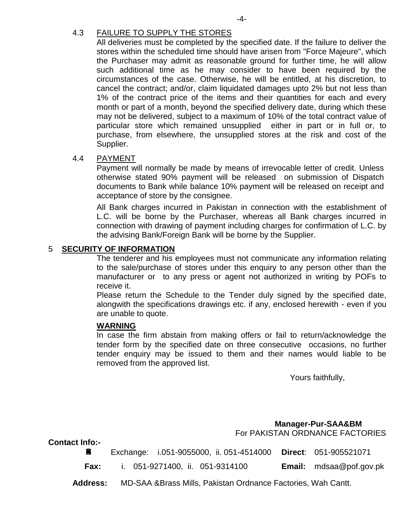# 4.3 FAILURE TO SUPPLY THE STORES

All deliveries must be completed by the specified date. If the failure to deliver the stores within the scheduled time should have arisen from "Force Majeure", which the Purchaser may admit as reasonable ground for further time, he will allow such additional time as he may consider to have been required by the circumstances of the case. Otherwise, he will be entitled, at his discretion, to cancel the contract; and/or, claim liquidated damages upto 2% but not less than 1% of the contract price of the items and their quantities for each and every month or part of a month, beyond the specified delivery date, during which these may not be delivered, subject to a maximum of 10% of the total contract value of particular store which remained unsupplied either in part or in full or, to purchase, from elsewhere, the unsupplied stores at the risk and cost of the Supplier.

#### 4.4 PAYMENT

Payment will normally be made by means of irrevocable letter of credit. Unless otherwise stated 90% payment will be released on submission of Dispatch documents to Bank while balance 10% payment will be released on receipt and acceptance of store by the consignee.

All Bank charges incurred in Pakistan in connection with the establishment of L.C. will be borne by the Purchaser, whereas all Bank charges incurred in connection with drawing of payment including charges for confirmation of L.C. by the advising Bank/Foreign Bank will be borne by the Supplier.

### 5 **SECURITY OF INFORMATION**

The tenderer and his employees must not communicate any information relating to the sale/purchase of stores under this enquiry to any person other than the manufacturer or to any press or agent not authorized in writing by POFs to receive it.

Please return the Schedule to the Tender duly signed by the specified date, alongwith the specifications drawings etc. if any, enclosed herewith - even if you are unable to quote.

#### **WARNING**

In case the firm abstain from making offers or fail to return/acknowledge the tender form by the specified date on three consecutive occasions, no further tender enquiry may be issued to them and their names would liable to be removed from the approved list.

Yours faithfully,

 **Manager-Pur-SAA&BM**  For PAKISTAN ORDNANCE FACTORIES

**Contact Info:-**

|             | Exchange: i.051-9055000, ii. 051-4514000 Direct: 051-905521071 |                                |
|-------------|----------------------------------------------------------------|--------------------------------|
| <b>Fax:</b> | i. 051-9271400, ii. 051-9314100                                | <b>Email:</b> mdsaa@pof.gov.pk |

**Address:** MD-SAA &Brass Mills, Pakistan Ordnance Factories, Wah Cantt.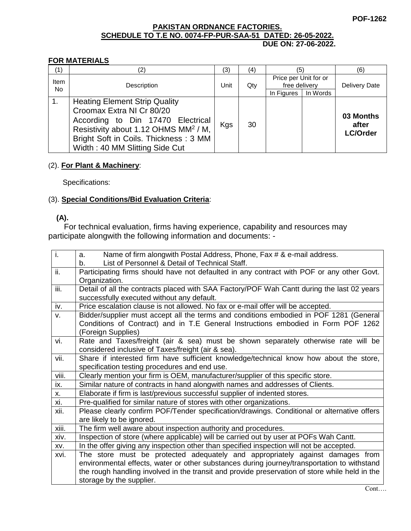#### **PAKISTAN ORDNANCE FACTORIES. SCHEDULE TO T.E NO. 0074-FP-PUR-SAA-51 DATED: 26-05-2022. DUE ON: 27-06-2022.**

#### **FOR MATERIALS**

| (1)            | (2)                                                                                                                                                                                                                                   | (3)  | (4) | (5)                                                  |          | (6)                                   |
|----------------|---------------------------------------------------------------------------------------------------------------------------------------------------------------------------------------------------------------------------------------|------|-----|------------------------------------------------------|----------|---------------------------------------|
| Item<br>No.    | Description                                                                                                                                                                                                                           | Unit | Qty | Price per Unit for or<br>free delivery<br>In Figures | In Words | <b>Delivery Date</b>                  |
| $\mathbf{1}$ . | <b>Heating Element Strip Quality</b><br>Croomax Extra NI Cr 80/20<br>According to Din 17470 Electrical<br>Resistivity about 1.12 OHMS MM <sup>2</sup> / M,<br>Bright Soft in Coils. Thickness: 3 MM<br>Width: 40 MM Slitting Side Cut | Kgs  | 30  |                                                      |          | 03 Months<br>after<br><b>LC/Order</b> |

#### (2). **For Plant & Machinery**:

Specifications:

### (3). **Special Conditions/Bid Evaluation Criteria**:

# **(A).**

 For technical evaluation, firms having experience, capability and resources may participate alongwith the following information and documents: -

| ī.                         | Name of firm alongwith Postal Address, Phone, Fax # & e-mail address.<br>a.                    |
|----------------------------|------------------------------------------------------------------------------------------------|
|                            | List of Personnel & Detail of Technical Staff.<br>b.                                           |
| $\overline{\mathbf{ii}}$ . | Participating firms should have not defaulted in any contract with POF or any other Govt.      |
|                            | Organization.                                                                                  |
| iii.                       | Detail of all the contracts placed with SAA Factory/POF Wah Cantt during the last 02 years     |
|                            | successfully executed without any default.                                                     |
| iv.                        | Price escalation clause is not allowed. No fax or e-mail offer will be accepted.               |
| v.                         | Bidder/supplier must accept all the terms and conditions embodied in POF 1281 (General         |
|                            | Conditions of Contract) and in T.E General Instructions embodied in Form POF 1262              |
|                            | (Foreign Supplies)                                                                             |
| vi.                        | Rate and Taxes/freight (air & sea) must be shown separately otherwise rate will be             |
|                            | considered inclusive of Taxes/freight (air & sea).                                             |
| vii.                       | Share if interested firm have sufficient knowledge/technical know how about the store,         |
|                            | specification testing procedures and end use.                                                  |
| viii.                      | Clearly mention your firm is OEM, manufacturer/supplier of this specific store.                |
| ix.                        | Similar nature of contracts in hand alongwith names and addresses of Clients.                  |
| Х.                         | Elaborate if firm is last/previous successful supplier of indented stores.                     |
| xi.                        | Pre-qualified for similar nature of stores with other organizations.                           |
| xii.                       | Please clearly confirm POF/Tender specification/drawings. Conditional or alternative offers    |
|                            | are likely to be ignored.                                                                      |
| xiii.                      | The firm well aware about inspection authority and procedures.                                 |
| xiv.                       | Inspection of store (where applicable) will be carried out by user at POFs Wah Cantt.          |
| XV.                        | In the offer giving any inspection other than specified inspection will not be accepted.       |
| xvi.                       | The store must be protected adequately and appropriately against damages from                  |
|                            | environmental effects, water or other substances during journey/transportation to withstand    |
|                            | the rough handling involved in the transit and provide preservation of store while held in the |
|                            | storage by the supplier.                                                                       |